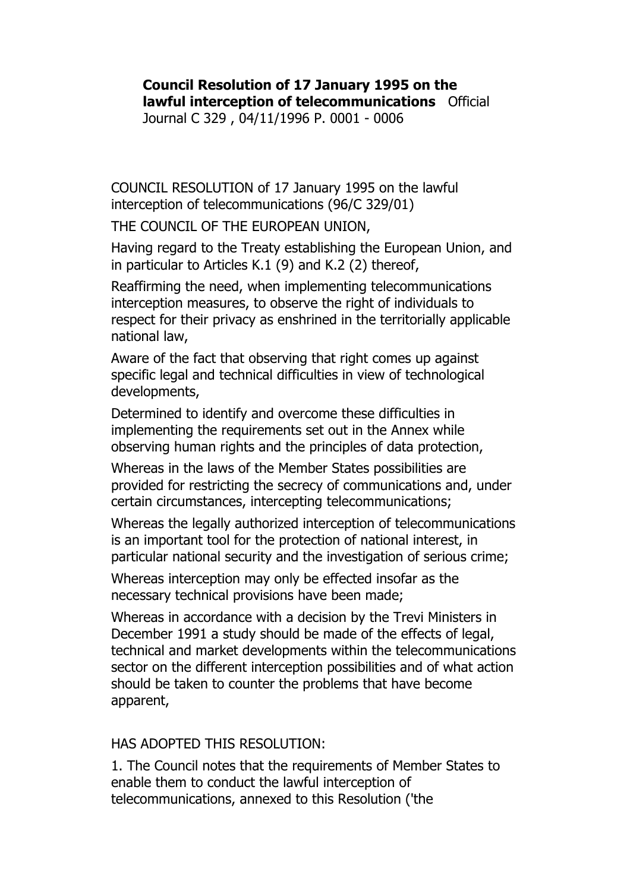## **Council Resolution of 17 January 1995 on the lawful interception of telecommunications** Official

Journal C 329 , 04/11/1996 P. 0001 - 0006

COUNCIL RESOLUTION of 17 January 1995 on the lawful interception of telecommunications (96/C 329/01)

THE COUNCIL OF THE EUROPEAN UNION,

Having regard to the Treaty establishing the European Union, and in particular to Articles K.1 (9) and K.2 (2) thereof,

Reaffirming the need, when implementing telecommunications interception measures, to observe the right of individuals to respect for their privacy as enshrined in the territorially applicable national law,

Aware of the fact that observing that right comes up against specific legal and technical difficulties in view of technological developments,

Determined to identify and overcome these difficulties in implementing the requirements set out in the Annex while observing human rights and the principles of data protection,

Whereas in the laws of the Member States possibilities are provided for restricting the secrecy of communications and, under certain circumstances, intercepting telecommunications;

Whereas the legally authorized interception of telecommunications is an important tool for the protection of national interest, in particular national security and the investigation of serious crime;

Whereas interception may only be effected insofar as the necessary technical provisions have been made;

Whereas in accordance with a decision by the Trevi Ministers in December 1991 a study should be made of the effects of legal, technical and market developments within the telecommunications sector on the different interception possibilities and of what action should be taken to counter the problems that have become apparent,

## HAS ADOPTED THIS RESOLUTION:

1. The Council notes that the requirements of Member States to enable them to conduct the lawful interception of telecommunications, annexed to this Resolution ('the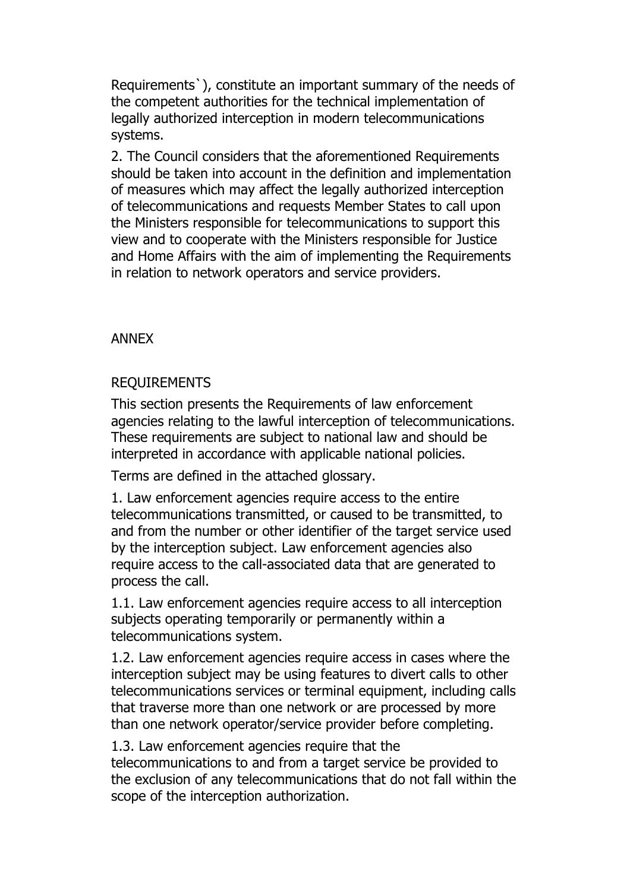Requirements`), constitute an important summary of the needs of the competent authorities for the technical implementation of legally authorized interception in modern telecommunications systems.

2. The Council considers that the aforementioned Requirements should be taken into account in the definition and implementation of measures which may affect the legally authorized interception of telecommunications and requests Member States to call upon the Ministers responsible for telecommunications to support this view and to cooperate with the Ministers responsible for Justice and Home Affairs with the aim of implementing the Requirements in relation to network operators and service providers.

## ANNEX

## REQUIREMENTS

This section presents the Requirements of law enforcement agencies relating to the lawful interception of telecommunications. These requirements are subject to national law and should be interpreted in accordance with applicable national policies.

Terms are defined in the attached glossary.

1. Law enforcement agencies require access to the entire telecommunications transmitted, or caused to be transmitted, to and from the number or other identifier of the target service used by the interception subject. Law enforcement agencies also require access to the call-associated data that are generated to process the call.

1.1. Law enforcement agencies require access to all interception subjects operating temporarily or permanently within a telecommunications system.

1.2. Law enforcement agencies require access in cases where the interception subject may be using features to divert calls to other telecommunications services or terminal equipment, including calls that traverse more than one network or are processed by more than one network operator/service provider before completing.

1.3. Law enforcement agencies require that the telecommunications to and from a target service be provided to the exclusion of any telecommunications that do not fall within the scope of the interception authorization.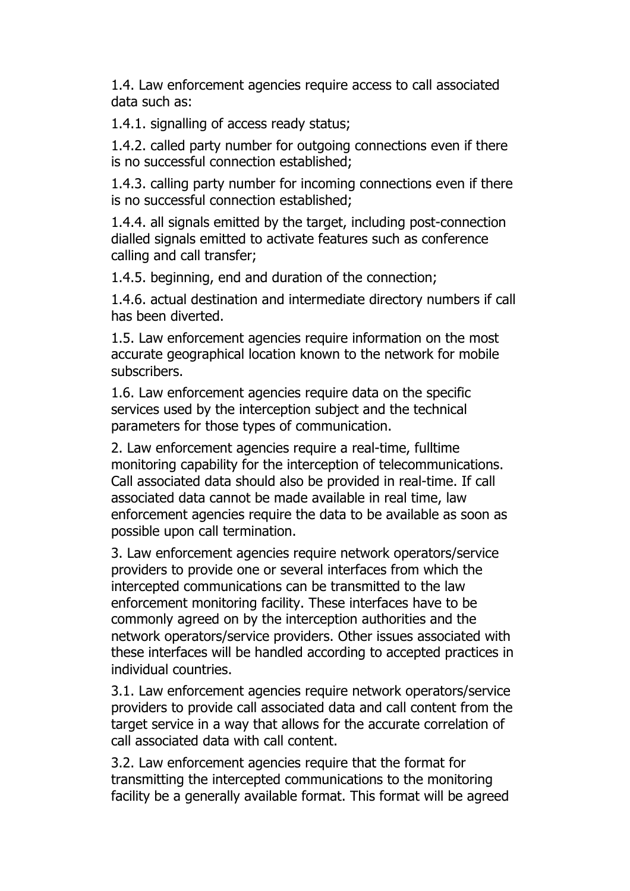1.4. Law enforcement agencies require access to call associated data such as:

1.4.1. signalling of access ready status;

1.4.2. called party number for outgoing connections even if there is no successful connection established;

1.4.3. calling party number for incoming connections even if there is no successful connection established;

1.4.4. all signals emitted by the target, including post-connection dialled signals emitted to activate features such as conference calling and call transfer;

1.4.5. beginning, end and duration of the connection;

1.4.6. actual destination and intermediate directory numbers if call has been diverted.

1.5. Law enforcement agencies require information on the most accurate geographical location known to the network for mobile subscribers.

1.6. Law enforcement agencies require data on the specific services used by the interception subject and the technical parameters for those types of communication.

2. Law enforcement agencies require a real-time, fulltime monitoring capability for the interception of telecommunications. Call associated data should also be provided in real-time. If call associated data cannot be made available in real time, law enforcement agencies require the data to be available as soon as possible upon call termination.

3. Law enforcement agencies require network operators/service providers to provide one or several interfaces from which the intercepted communications can be transmitted to the law enforcement monitoring facility. These interfaces have to be commonly agreed on by the interception authorities and the network operators/service providers. Other issues associated with these interfaces will be handled according to accepted practices in individual countries.

3.1. Law enforcement agencies require network operators/service providers to provide call associated data and call content from the target service in a way that allows for the accurate correlation of call associated data with call content.

3.2. Law enforcement agencies require that the format for transmitting the intercepted communications to the monitoring facility be a generally available format. This format will be agreed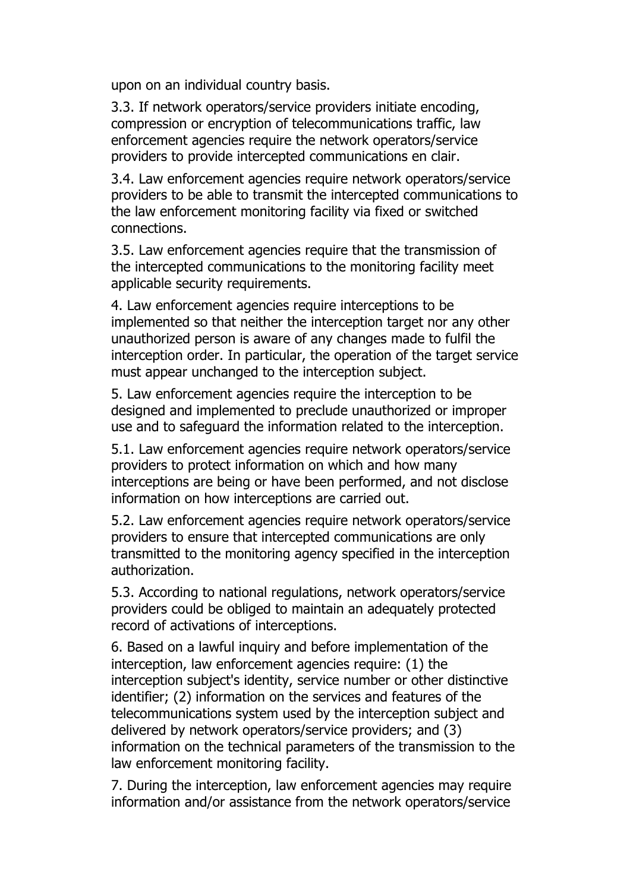upon on an individual country basis.

3.3. If network operators/service providers initiate encoding, compression or encryption of telecommunications traffic, law enforcement agencies require the network operators/service providers to provide intercepted communications en clair.

3.4. Law enforcement agencies require network operators/service providers to be able to transmit the intercepted communications to the law enforcement monitoring facility via fixed or switched connections.

3.5. Law enforcement agencies require that the transmission of the intercepted communications to the monitoring facility meet applicable security requirements.

4. Law enforcement agencies require interceptions to be implemented so that neither the interception target nor any other unauthorized person is aware of any changes made to fulfil the interception order. In particular, the operation of the target service must appear unchanged to the interception subject.

5. Law enforcement agencies require the interception to be designed and implemented to preclude unauthorized or improper use and to safeguard the information related to the interception.

5.1. Law enforcement agencies require network operators/service providers to protect information on which and how many interceptions are being or have been performed, and not disclose information on how interceptions are carried out.

5.2. Law enforcement agencies require network operators/service providers to ensure that intercepted communications are only transmitted to the monitoring agency specified in the interception authorization.

5.3. According to national regulations, network operators/service providers could be obliged to maintain an adequately protected record of activations of interceptions.

6. Based on a lawful inquiry and before implementation of the interception, law enforcement agencies require: (1) the interception subject's identity, service number or other distinctive identifier; (2) information on the services and features of the telecommunications system used by the interception subject and delivered by network operators/service providers; and (3) information on the technical parameters of the transmission to the law enforcement monitoring facility.

7. During the interception, law enforcement agencies may require information and/or assistance from the network operators/service